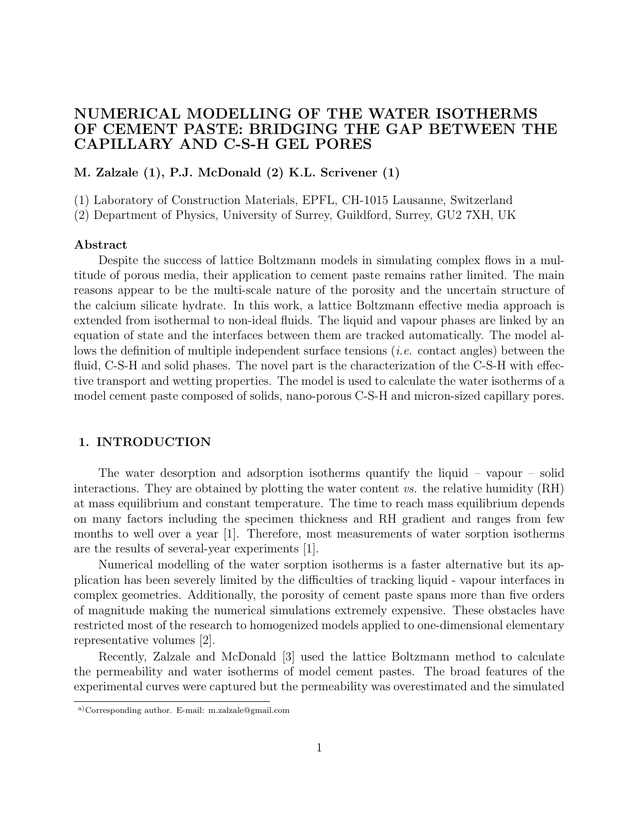# NUMERICAL MODELLING OF THE WATER ISOTHERMS OF CEMENT PASTE: BRIDGING THE GAP BETWEEN THE CAPILLARY AND C-S-H GEL PORES

M. Zalzale (1), P.J. McDonald (2) K.L. Scrivener (1)

(1) Laboratory of Construction Materials, EPFL, CH-1015 Lausanne, Switzerland

(2) Department of Physics, University of Surrey, Guildford, Surrey, GU2 7XH, UK

#### Abstract

Despite the success of lattice Boltzmann models in simulating complex flows in a multitude of porous media, their application to cement paste remains rather limited. The main reasons appear to be the multi-scale nature of the porosity and the uncertain structure of the calcium silicate hydrate. In this work, a lattice Boltzmann effective media approach is extended from isothermal to non-ideal fluids. The liquid and vapour phases are linked by an equation of state and the interfaces between them are tracked automatically. The model allows the definition of multiple independent surface tensions (i.e. contact angles) between the fluid, C-S-H and solid phases. The novel part is the characterization of the C-S-H with effective transport and wetting properties. The model is used to calculate the water isotherms of a model cement paste composed of solids, nano-porous C-S-H and micron-sized capillary pores.

# 1. INTRODUCTION

The water desorption and adsorption isotherms quantify the liquid – vapour – solid interactions. They are obtained by plotting the water content  $vs.$  the relative humidity  $(RH)$ at mass equilibrium and constant temperature. The time to reach mass equilibrium depends on many factors including the specimen thickness and RH gradient and ranges from few months to well over a year [1]. Therefore, most measurements of water sorption isotherms are the results of several-year experiments [1].

Numerical modelling of the water sorption isotherms is a faster alternative but its application has been severely limited by the difficulties of tracking liquid - vapour interfaces in complex geometries. Additionally, the porosity of cement paste spans more than five orders of magnitude making the numerical simulations extremely expensive. These obstacles have restricted most of the research to homogenized models applied to one-dimensional elementary representative volumes [2].

Recently, Zalzale and McDonald [3] used the lattice Boltzmann method to calculate the permeability and water isotherms of model cement pastes. The broad features of the experimental curves were captured but the permeability was overestimated and the simulated

a)Corresponding author. E-mail: m.zalzale@gmail.com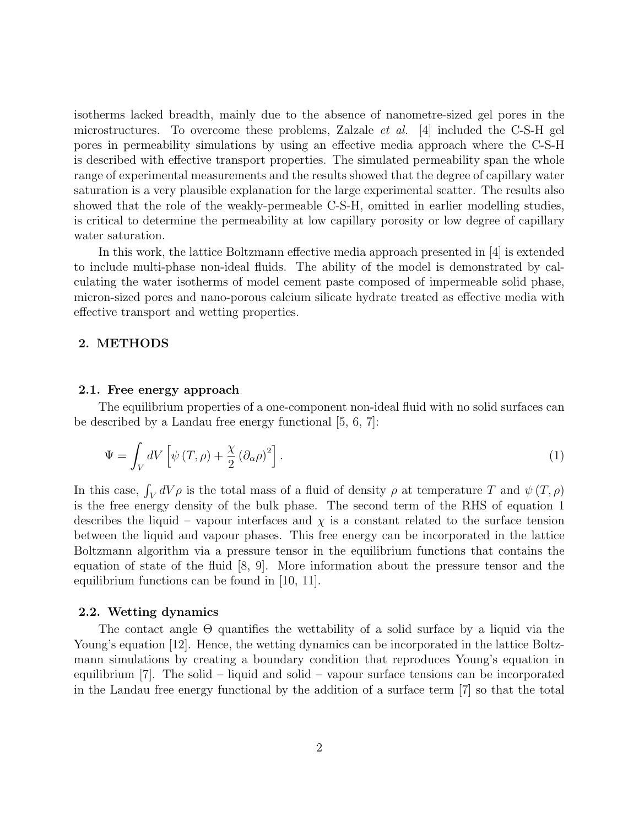isotherms lacked breadth, mainly due to the absence of nanometre-sized gel pores in the microstructures. To overcome these problems, Zalzale *et al.* [4] included the C-S-H gel pores in permeability simulations by using an effective media approach where the C-S-H is described with effective transport properties. The simulated permeability span the whole range of experimental measurements and the results showed that the degree of capillary water saturation is a very plausible explanation for the large experimental scatter. The results also showed that the role of the weakly-permeable C-S-H, omitted in earlier modelling studies, is critical to determine the permeability at low capillary porosity or low degree of capillary water saturation.

In this work, the lattice Boltzmann effective media approach presented in [4] is extended to include multi-phase non-ideal fluids. The ability of the model is demonstrated by calculating the water isotherms of model cement paste composed of impermeable solid phase, micron-sized pores and nano-porous calcium silicate hydrate treated as effective media with effective transport and wetting properties.

### 2. METHODS

#### 2.1. Free energy approach

The equilibrium properties of a one-component non-ideal fluid with no solid surfaces can be described by a Landau free energy functional [5, 6, 7]:

$$
\Psi = \int_{V} dV \left[ \psi \left( T, \rho \right) + \frac{\chi}{2} \left( \partial_{\alpha} \rho \right)^{2} \right]. \tag{1}
$$

In this case,  $\int_V dV \rho$  is the total mass of a fluid of density  $\rho$  at temperature T and  $\psi(T, \rho)$ is the free energy density of the bulk phase. The second term of the RHS of equation 1 describes the liquid – vapour interfaces and  $\chi$  is a constant related to the surface tension between the liquid and vapour phases. This free energy can be incorporated in the lattice Boltzmann algorithm via a pressure tensor in the equilibrium functions that contains the equation of state of the fluid [8, 9]. More information about the pressure tensor and the equilibrium functions can be found in [10, 11].

### 2.2. Wetting dynamics

The contact angle Θ quantifies the wettability of a solid surface by a liquid via the Young's equation [12]. Hence, the wetting dynamics can be incorporated in the lattice Boltzmann simulations by creating a boundary condition that reproduces Young's equation in equilibrium [7]. The solid – liquid and solid – vapour surface tensions can be incorporated in the Landau free energy functional by the addition of a surface term [7] so that the total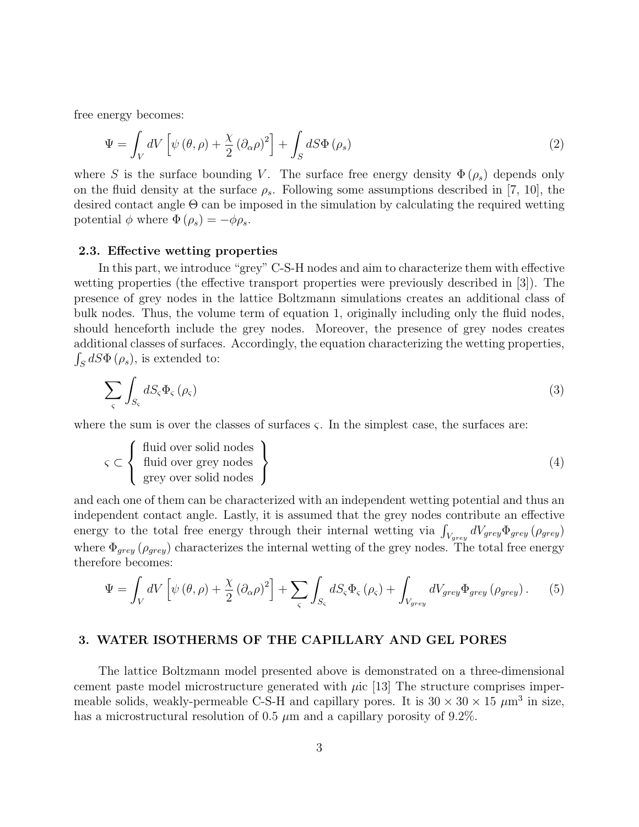free energy becomes:

$$
\Psi = \int_{V} dV \left[ \psi (\theta, \rho) + \frac{\chi}{2} (\partial_{\alpha} \rho)^{2} \right] + \int_{S} dS \Phi (\rho_{s}) \tag{2}
$$

where S is the surface bounding V. The surface free energy density  $\Phi(\rho_s)$  depends only on the fluid density at the surface  $\rho_s$ . Following some assumptions described in [7, 10], the desired contact angle Θ can be imposed in the simulation by calculating the required wetting potential  $\phi$  where  $\Phi(\rho_s) = -\phi \rho_s$ .

### 2.3. Effective wetting properties

In this part, we introduce "grey" C-S-H nodes and aim to characterize them with effective wetting properties (the effective transport properties were previously described in [3]). The presence of grey nodes in the lattice Boltzmann simulations creates an additional class of bulk nodes. Thus, the volume term of equation 1, originally including only the fluid nodes, should henceforth include the grey nodes. Moreover, the presence of grey nodes creates additional classes of surfaces. Accordingly, the equation characterizing the wetting properties,  $\int_S dS \Phi(\rho_s)$ , is extended to:

$$
\sum_{\varsigma} \int_{S_{\varsigma}} dS_{\varsigma} \Phi_{\varsigma} (\rho_{\varsigma}) \tag{3}
$$

where the sum is over the classes of surfaces  $\zeta$ . In the simplest case, the surfaces are:

$$
\varsigma \subset \left\{ \begin{array}{c} \text{fluid over solid nodes} \\ \text{fluid over grey nodes} \\ \text{grey over solid nodes} \end{array} \right\} \tag{4}
$$

and each one of them can be characterized with an independent wetting potential and thus an independent contact angle. Lastly, it is assumed that the grey nodes contribute an effective energy to the total free energy through their internal wetting via  $\int_{V_{grey}} dV_{grey} \Phi_{grey} (\rho_{grey})$ where  $\Phi_{grey}$  ( $\rho_{grey}$ ) characterizes the internal wetting of the grey nodes. The total free energy therefore becomes:

$$
\Psi = \int_{V} dV \left[ \psi \left( \theta, \rho \right) + \frac{\chi}{2} \left( \partial_{\alpha} \rho \right)^{2} \right] + \sum_{\varsigma} \int_{S_{\varsigma}} dS_{\varsigma} \Phi_{\varsigma} \left( \rho_{\varsigma} \right) + \int_{V_{grey}} dV_{grey} \Phi_{grey} \left( \rho_{grey} \right). \tag{5}
$$

## 3. WATER ISOTHERMS OF THE CAPILLARY AND GEL PORES

The lattice Boltzmann model presented above is demonstrated on a three-dimensional cement paste model microstructure generated with  $\mu$ ic [13] The structure comprises impermeable solids, weakly-permeable C-S-H and capillary pores. It is  $30 \times 30 \times 15 \ \mu m^3$  in size, has a microstructural resolution of 0.5  $\mu$ m and a capillary porosity of 9.2%.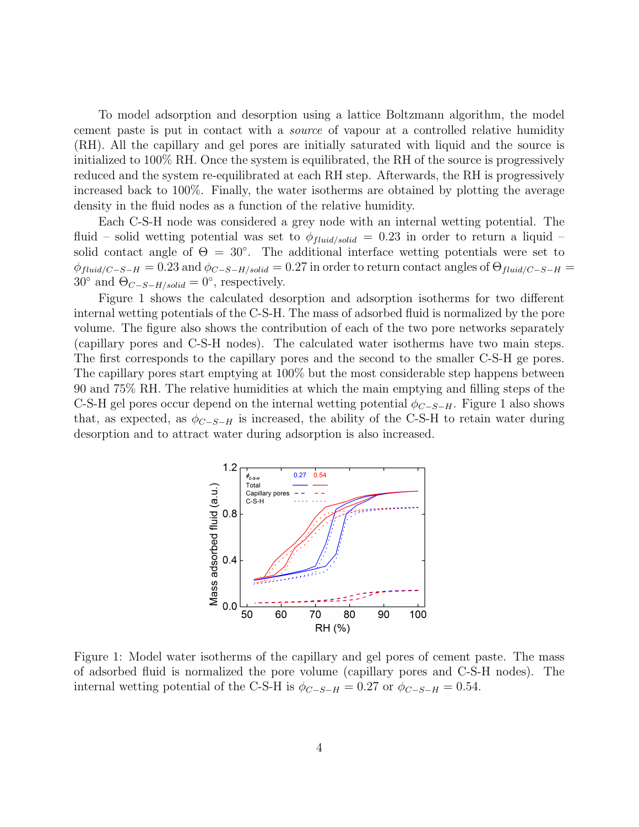To model adsorption and desorption using a lattice Boltzmann algorithm, the model cement paste is put in contact with a source of vapour at a controlled relative humidity (RH). All the capillary and gel pores are initially saturated with liquid and the source is initialized to 100% RH. Once the system is equilibrated, the RH of the source is progressively reduced and the system re-equilibrated at each RH step. Afterwards, the RH is progressively increased back to 100%. Finally, the water isotherms are obtained by plotting the average density in the fluid nodes as a function of the relative humidity.

Each C-S-H node was considered a grey node with an internal wetting potential. The fluid – solid wetting potential was set to  $\phi_{fluid/solid} = 0.23$  in order to return a liquid – solid contact angle of  $\Theta = 30^{\circ}$ . The additional interface wetting potentials were set to  $\phi_{fluid/C-S-H} = 0.23$  and  $\phi_{C-S-H/solid} = 0.27$  in order to return contact angles of  $\Theta_{fluid/C-S-H}$ 30° and  $\Theta_{C-S-H/solid} = 0$ °, respectively.

Figure 1 shows the calculated desorption and adsorption isotherms for two different internal wetting potentials of the C-S-H. The mass of adsorbed fluid is normalized by the pore volume. The figure also shows the contribution of each of the two pore networks separately (capillary pores and C-S-H nodes). The calculated water isotherms have two main steps. The first corresponds to the capillary pores and the second to the smaller C-S-H ge pores. The capillary pores start emptying at 100% but the most considerable step happens between 90 and 75% RH. The relative humidities at which the main emptying and filling steps of the C-S-H gel pores occur depend on the internal wetting potential  $\phi_{C-S-H}$ . Figure 1 also shows that, as expected, as  $\phi_{C-S-H}$  is increased, the ability of the C-S-H to retain water during desorption and to attract water during adsorption is also increased.



Figure 1: Model water isotherms of the capillary and gel pores of cement paste. The mass of adsorbed fluid is normalized the pore volume (capillary pores and C-S-H nodes). The internal wetting potential of the C-S-H is  $\phi_{C-S-H} = 0.27$  or  $\phi_{C-S-H} = 0.54$ .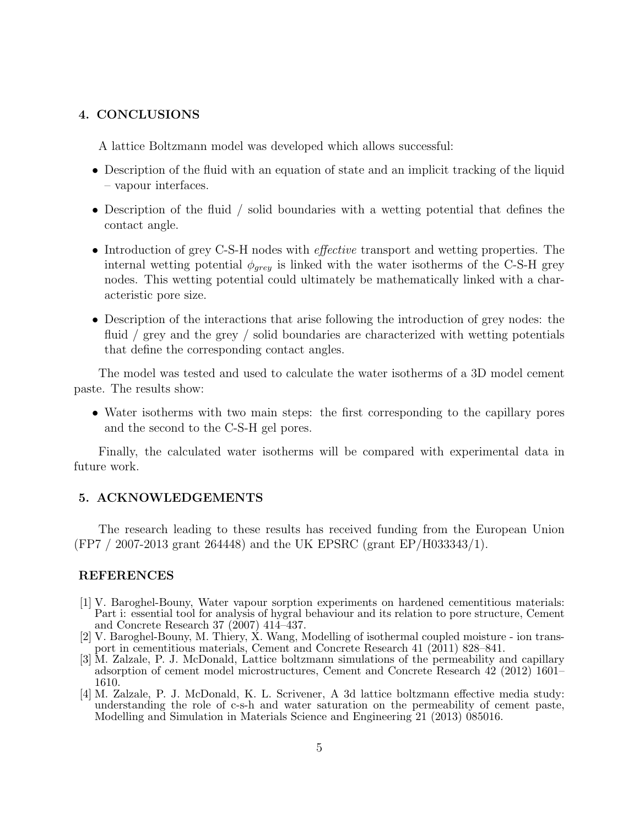## 4. CONCLUSIONS

A lattice Boltzmann model was developed which allows successful:

- Description of the fluid with an equation of state and an implicit tracking of the liquid – vapour interfaces.
- Description of the fluid / solid boundaries with a wetting potential that defines the contact angle.
- Introduction of grey C-S-H nodes with *effective* transport and wetting properties. The internal wetting potential  $\phi_{\text{grey}}$  is linked with the water isotherms of the C-S-H grey nodes. This wetting potential could ultimately be mathematically linked with a characteristic pore size.
- Description of the interactions that arise following the introduction of grey nodes: the fluid / grey and the grey / solid boundaries are characterized with wetting potentials that define the corresponding contact angles.

The model was tested and used to calculate the water isotherms of a 3D model cement paste. The results show:

• Water isotherms with two main steps: the first corresponding to the capillary pores and the second to the C-S-H gel pores.

Finally, the calculated water isotherms will be compared with experimental data in future work.

### 5. ACKNOWLEDGEMENTS

The research leading to these results has received funding from the European Union (FP7 / 2007-2013 grant 264448) and the UK EPSRC (grant EP/H033343/1).

## REFERENCES

- [1] V. Baroghel-Bouny, Water vapour sorption experiments on hardened cementitious materials: Part i: essential tool for analysis of hygral behaviour and its relation to pore structure, Cement and Concrete Research 37 (2007) 414–437.
- [2] V. Baroghel-Bouny, M. Thiery, X. Wang, Modelling of isothermal coupled moisture ion transport in cementitious materials, Cement and Concrete Research 41 (2011) 828–841.
- [3] M. Zalzale, P. J. McDonald, Lattice boltzmann simulations of the permeability and capillary adsorption of cement model microstructures, Cement and Concrete Research 42 (2012) 1601– 1610.
- [4] M. Zalzale, P. J. McDonald, K. L. Scrivener, A 3d lattice boltzmann effective media study: understanding the role of c-s-h and water saturation on the permeability of cement paste, Modelling and Simulation in Materials Science and Engineering 21 (2013) 085016.